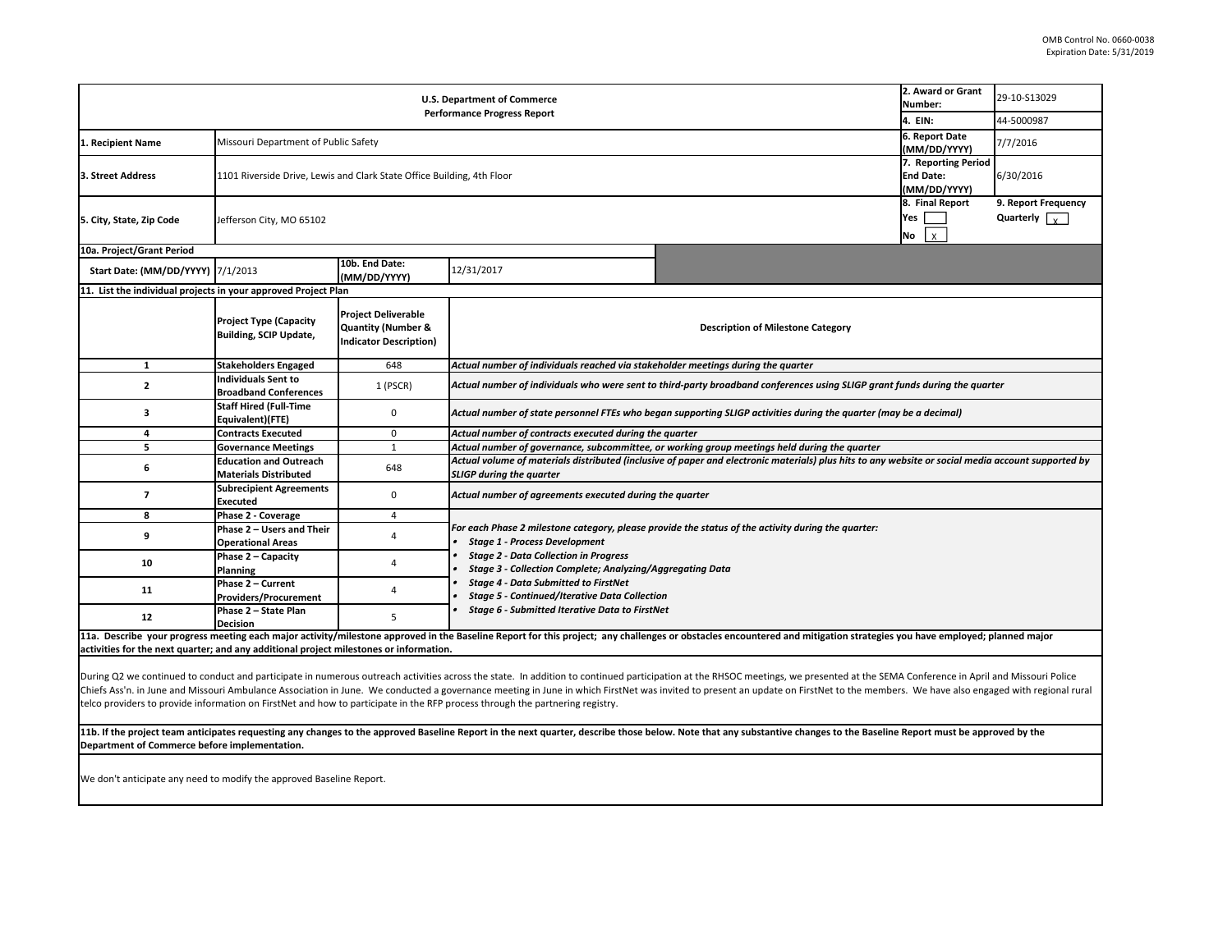| <b>U.S. Department of Commerce</b><br><b>Performance Progress Report</b>                                                                                                                                                                                                                                                                                                                                                                                                                                                                                                                         |                                                                |                                                                                              |                                                                                                                                                                                                                                                                                                                                                                                                                  | 2. Award or Grant<br>Number:                                                                                               | 29-10-S13029                   |                                                    |  |  |
|--------------------------------------------------------------------------------------------------------------------------------------------------------------------------------------------------------------------------------------------------------------------------------------------------------------------------------------------------------------------------------------------------------------------------------------------------------------------------------------------------------------------------------------------------------------------------------------------------|----------------------------------------------------------------|----------------------------------------------------------------------------------------------|------------------------------------------------------------------------------------------------------------------------------------------------------------------------------------------------------------------------------------------------------------------------------------------------------------------------------------------------------------------------------------------------------------------|----------------------------------------------------------------------------------------------------------------------------|--------------------------------|----------------------------------------------------|--|--|
|                                                                                                                                                                                                                                                                                                                                                                                                                                                                                                                                                                                                  |                                                                |                                                                                              |                                                                                                                                                                                                                                                                                                                                                                                                                  |                                                                                                                            | 4. EIN:                        | 44-5000987                                         |  |  |
| 1. Recipient Name                                                                                                                                                                                                                                                                                                                                                                                                                                                                                                                                                                                | Missouri Department of Public Safety                           |                                                                                              |                                                                                                                                                                                                                                                                                                                                                                                                                  |                                                                                                                            | 6. Report Date<br>(MM/DD/YYYY) | 7/7/2016                                           |  |  |
| 3. Street Address                                                                                                                                                                                                                                                                                                                                                                                                                                                                                                                                                                                |                                                                | 1101 Riverside Drive, Lewis and Clark State Office Building, 4th Floor                       |                                                                                                                                                                                                                                                                                                                                                                                                                  |                                                                                                                            |                                | 7. Reporting Period<br>6/30/2016                   |  |  |
| 5. City, State, Zip Code                                                                                                                                                                                                                                                                                                                                                                                                                                                                                                                                                                         | Jefferson City, MO 65102                                       |                                                                                              |                                                                                                                                                                                                                                                                                                                                                                                                                  |                                                                                                                            |                                | 9. Report Frequency<br>Quarterly $\sqrt{\sqrt{2}}$ |  |  |
| 10a. Project/Grant Period                                                                                                                                                                                                                                                                                                                                                                                                                                                                                                                                                                        |                                                                |                                                                                              |                                                                                                                                                                                                                                                                                                                                                                                                                  |                                                                                                                            |                                |                                                    |  |  |
| Start Date: (MM/DD/YYYY) 7/1/2013                                                                                                                                                                                                                                                                                                                                                                                                                                                                                                                                                                |                                                                | 10b. End Date:<br>(MM/DD/YYYY)                                                               | 12/31/2017                                                                                                                                                                                                                                                                                                                                                                                                       |                                                                                                                            |                                |                                                    |  |  |
| 11. List the individual projects in your approved Project Plan                                                                                                                                                                                                                                                                                                                                                                                                                                                                                                                                   |                                                                |                                                                                              |                                                                                                                                                                                                                                                                                                                                                                                                                  |                                                                                                                            |                                |                                                    |  |  |
|                                                                                                                                                                                                                                                                                                                                                                                                                                                                                                                                                                                                  | <b>Project Type (Capacity</b><br><b>Building, SCIP Update,</b> | <b>Project Deliverable</b><br><b>Quantity (Number &amp;</b><br><b>Indicator Description)</b> | <b>Description of Milestone Category</b>                                                                                                                                                                                                                                                                                                                                                                         |                                                                                                                            |                                |                                                    |  |  |
| $\mathbf{1}$                                                                                                                                                                                                                                                                                                                                                                                                                                                                                                                                                                                     | <b>Stakeholders Engaged</b>                                    | 648                                                                                          | Actual number of individuals reached via stakeholder meetings during the quarter                                                                                                                                                                                                                                                                                                                                 |                                                                                                                            |                                |                                                    |  |  |
| $\overline{2}$                                                                                                                                                                                                                                                                                                                                                                                                                                                                                                                                                                                   | <b>Individuals Sent to</b><br><b>Broadband Conferences</b>     | 1 (PSCR)                                                                                     |                                                                                                                                                                                                                                                                                                                                                                                                                  | Actual number of individuals who were sent to third-party broadband conferences using SLIGP grant funds during the quarter |                                |                                                    |  |  |
| 3                                                                                                                                                                                                                                                                                                                                                                                                                                                                                                                                                                                                | <b>Staff Hired (Full-Time</b><br>Equivalent)(FTE)              | 0                                                                                            | Actual number of state personnel FTEs who began supporting SLIGP activities during the quarter (may be a decimal)                                                                                                                                                                                                                                                                                                |                                                                                                                            |                                |                                                    |  |  |
| 4                                                                                                                                                                                                                                                                                                                                                                                                                                                                                                                                                                                                | <b>Contracts Executed</b>                                      | 0                                                                                            | Actual number of contracts executed during the quarter                                                                                                                                                                                                                                                                                                                                                           |                                                                                                                            |                                |                                                    |  |  |
| 5                                                                                                                                                                                                                                                                                                                                                                                                                                                                                                                                                                                                | <b>Governance Meetings</b>                                     | $\mathbf{1}$                                                                                 | Actual number of governance, subcommittee, or working group meetings held during the quarter                                                                                                                                                                                                                                                                                                                     |                                                                                                                            |                                |                                                    |  |  |
| 6                                                                                                                                                                                                                                                                                                                                                                                                                                                                                                                                                                                                | <b>Education and Outreach</b><br><b>Materials Distributed</b>  | 648                                                                                          | Actual volume of materials distributed (inclusive of paper and electronic materials) plus hits to any website or social media account supported by<br><b>SLIGP during the quarter</b>                                                                                                                                                                                                                            |                                                                                                                            |                                |                                                    |  |  |
| $\overline{7}$                                                                                                                                                                                                                                                                                                                                                                                                                                                                                                                                                                                   | <b>Subrecipient Agreements</b><br><b>Executed</b>              | 0                                                                                            | Actual number of agreements executed during the quarter                                                                                                                                                                                                                                                                                                                                                          |                                                                                                                            |                                |                                                    |  |  |
| 8                                                                                                                                                                                                                                                                                                                                                                                                                                                                                                                                                                                                | Phase 2 - Coverage                                             | $\overline{4}$                                                                               |                                                                                                                                                                                                                                                                                                                                                                                                                  |                                                                                                                            |                                |                                                    |  |  |
| 9                                                                                                                                                                                                                                                                                                                                                                                                                                                                                                                                                                                                | Phase 2 - Users and Their<br><b>Operational Areas</b>          | 4                                                                                            | For each Phase 2 milestone category, please provide the status of the activity during the quarter:<br><b>Stage 1 - Process Development</b><br><b>Stage 2 - Data Collection in Progress</b><br>Stage 3 - Collection Complete; Analyzing/Aggregating Data<br><b>Stage 4 - Data Submitted to FirstNet</b><br><b>Stage 5 - Continued/Iterative Data Collection</b><br>Stage 6 - Submitted Iterative Data to FirstNet |                                                                                                                            |                                |                                                    |  |  |
| 10                                                                                                                                                                                                                                                                                                                                                                                                                                                                                                                                                                                               | Phase 2 - Capacity<br>Planning                                 | 4                                                                                            |                                                                                                                                                                                                                                                                                                                                                                                                                  |                                                                                                                            |                                |                                                    |  |  |
| 11                                                                                                                                                                                                                                                                                                                                                                                                                                                                                                                                                                                               | Phase 2 - Current<br><b>Providers/Procurement</b>              | 4                                                                                            |                                                                                                                                                                                                                                                                                                                                                                                                                  |                                                                                                                            |                                |                                                    |  |  |
| 12                                                                                                                                                                                                                                                                                                                                                                                                                                                                                                                                                                                               | Phase 2 - State Plan<br><b>Decision</b>                        | 5                                                                                            |                                                                                                                                                                                                                                                                                                                                                                                                                  |                                                                                                                            |                                |                                                    |  |  |
| 11a. Describe your progress meeting each major activity/milestone approved in the Baseline Report for this project; any challenges or obstacles encountered and mitigation strategies you have employed; planned major<br>activities for the next quarter; and any additional project milestones or information.                                                                                                                                                                                                                                                                                 |                                                                |                                                                                              |                                                                                                                                                                                                                                                                                                                                                                                                                  |                                                                                                                            |                                |                                                    |  |  |
| During Q2 we continued to conduct and participate in numerous outreach activities across the state. In addition to continued participation at the RHSOC meetings, we presented at the SEMA Conference in April and Missouri Po<br>Chiefs Ass'n. in June and Missouri Ambulance Association in June. We conducted a governance meeting in June in which FirstNet was invited to present an update on FirstNet to the members. We have also engaged with regional<br>telco providers to provide information on FirstNet and how to participate in the RFP process through the partnering registry. |                                                                |                                                                                              |                                                                                                                                                                                                                                                                                                                                                                                                                  |                                                                                                                            |                                |                                                    |  |  |

11b. If the project team anticipates requesting any changes to the approved Baseline Report in the next quarter, describe those below. Note that any substantive changes to the Baseline Report must be approved by the **Department of Commerce before implementation.**

We don't anticipate any need to modify the approved Baseline Report.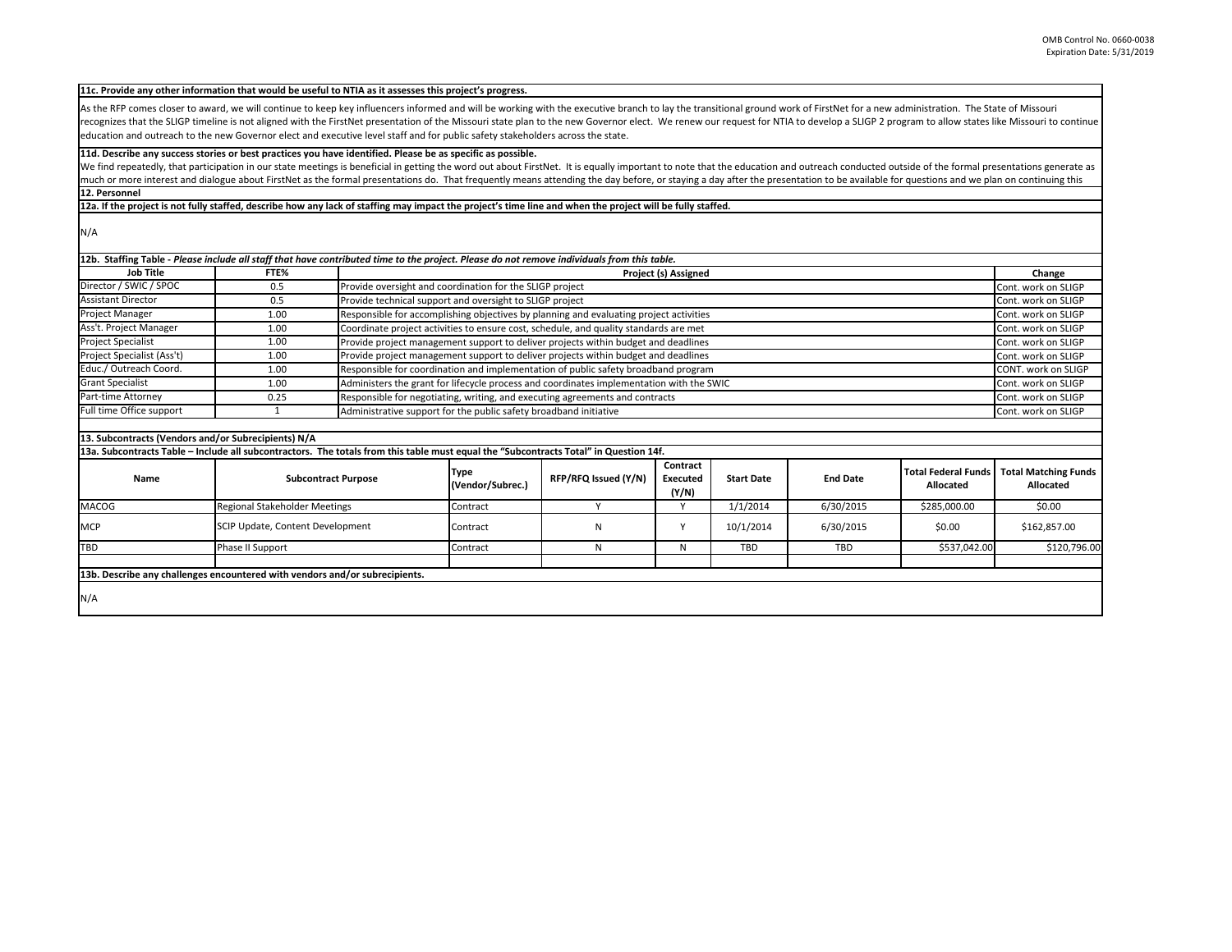As the RFP comes closer to award, we will continue to keep key influencers informed and will be working with the executive branch to lay the transitional ground work of FirstNet for a new administration. The State of Misso recognizes that the SLIGP timeline is not aligned with the FirstNet presentation of the Missouri state plan to the new Governor elect. We renew our request for NTIA to develop a SLIGP 2 program to allow states like Missour education and outreach to the new Governor elect and executive level staff and for public safety stakeholders across the state.

## 11d. Describe any success stories or best practices you have identified. Please be as specific as possible.

We find repeatedly, that participation in our state meetings is beneficial in getting the word out about FirstNet. It is equally important to note that the education and outreach conducted outside of the formal presentatio much or more interest and dialogue about FirstNet as the formal presentations do. That frequently means attending the day before, or staying a day after the presentation to be available for questions and we plan on continu **12. Personnel**

12a. If the project is not fully staffed, describe how any lack of staffing may impact the project's time line and when the project will be fully staffed.

N/A

|                            |      | 12b. Staffing Table - Please include all staff that have contributed time to the project. Please do not remove individuals from this table. |                            |  |
|----------------------------|------|---------------------------------------------------------------------------------------------------------------------------------------------|----------------------------|--|
| <b>Job Title</b>           | FTE% | Project (s) Assigned                                                                                                                        | Change                     |  |
| Director / SWIC / SPOC     | 0.5  | Provide oversight and coordination for the SLIGP project                                                                                    | Cont. work on SLIGP        |  |
| <b>Assistant Director</b>  | 0.5  | Provide technical support and oversight to SLIGP project                                                                                    | Cont. work on SLIGP        |  |
| Project Manager            | 1.00 | Responsible for accomplishing objectives by planning and evaluating project activities                                                      | Cont. work on SLIGP        |  |
| Ass't. Project Manager     | 1.00 | Coordinate project activities to ensure cost, schedule, and quality standards are met                                                       | Cont. work on SLIGP        |  |
| <b>Project Specialist</b>  | 1.00 | Provide project management support to deliver projects within budget and deadlines                                                          | Cont. work on SLIGP        |  |
| Project Specialist (Ass't) | 1.00 | Provide project management support to deliver projects within budget and deadlines                                                          | Cont. work on SLIGP        |  |
| Educ./ Outreach Coord.     | 1.00 | Responsible for coordination and implementation of public safety broadband program                                                          | <b>CONT.</b> work on SLIGP |  |
| <b>Grant Specialist</b>    | 1.00 | Administers the grant for lifecycle process and coordinates implementation with the SWIC                                                    | Cont. work on SLIGP        |  |
| Part-time Attorney         | 0.25 | Responsible for negotiating, writing, and executing agreements and contracts                                                                | Cont. work on SLIGP        |  |
| Full time Office support   |      | Administrative support for the public safety broadband initiative                                                                           | Cont. work on SLIGP        |  |

## **13. Subcontracts (Vendors and/or Subrecipients) N/A**

| 14f. Subcontracts Table – Include all subcontractors. The totals from this table must equal the "Subcontracts Total" in Question 14f. |                                  |          |                      |                               |                   |                 |              |                                                         |
|---------------------------------------------------------------------------------------------------------------------------------------|----------------------------------|----------|----------------------|-------------------------------|-------------------|-----------------|--------------|---------------------------------------------------------|
| Name                                                                                                                                  | <b>Subcontract Purpose</b>       |          | RFP/RFQ Issued (Y/N) | Contract<br>Executed<br>(Y/N) | <b>Start Date</b> | <b>End Date</b> | Allocated    | Total Federal Funds   Total Matching Funds<br>Allocated |
| <b>MACOG</b>                                                                                                                          | Regional Stakeholder Meetings    | Contract |                      |                               | 1/1/2014          | 6/30/2015       | \$285,000.00 | \$0.00                                                  |
| <b>MCP</b>                                                                                                                            | SCIP Update, Content Development | Contract | I٧                   |                               | 10/1/2014         | 6/30/2015       | \$0.00       | \$162,857.00                                            |
| <b>TBD</b>                                                                                                                            | Phase II Support                 | Contract |                      | N                             | TBD               | TBD             | \$537,042.00 | \$120,796.00                                            |
|                                                                                                                                       |                                  |          |                      |                               |                   |                 |              |                                                         |
| 13b. Describe any challenges encountered with vendors and/or subrecipients.                                                           |                                  |          |                      |                               |                   |                 |              |                                                         |
| N/A                                                                                                                                   |                                  |          |                      |                               |                   |                 |              |                                                         |